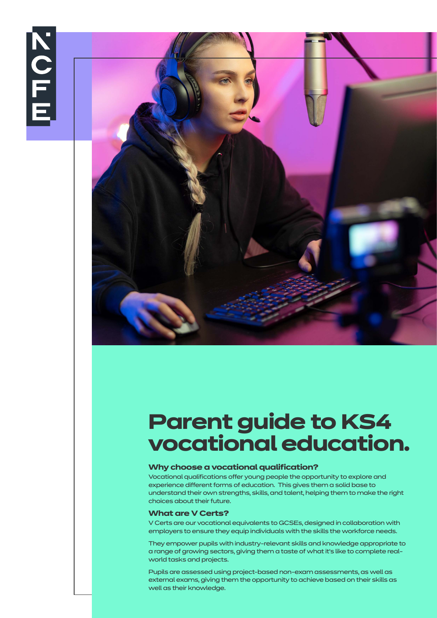



# **Parent guide to KS4 vocational education.**

# **Why choose a vocational qualification?**

Vocational qualifications offer young people the opportunity to explore and experience different forms of education. This gives them a solid base to understand their own strengths, skills, and talent, helping them to make the right choices about their future.

# **What are V Certs?**

V Certs are our vocational equivalents to GCSEs, designed in collaboration with employers to ensure they equip individuals with the skills the workforce needs.

They empower pupils with industry-relevant skills and knowledge appropriate to a range of growing sectors, giving them a taste of what it's like to complete realworld tasks and projects.

Pupils are assessed using project-based non-exam assessments, as well as external exams, giving them the opportunity to achieve based on their skills as well as their knowledge.